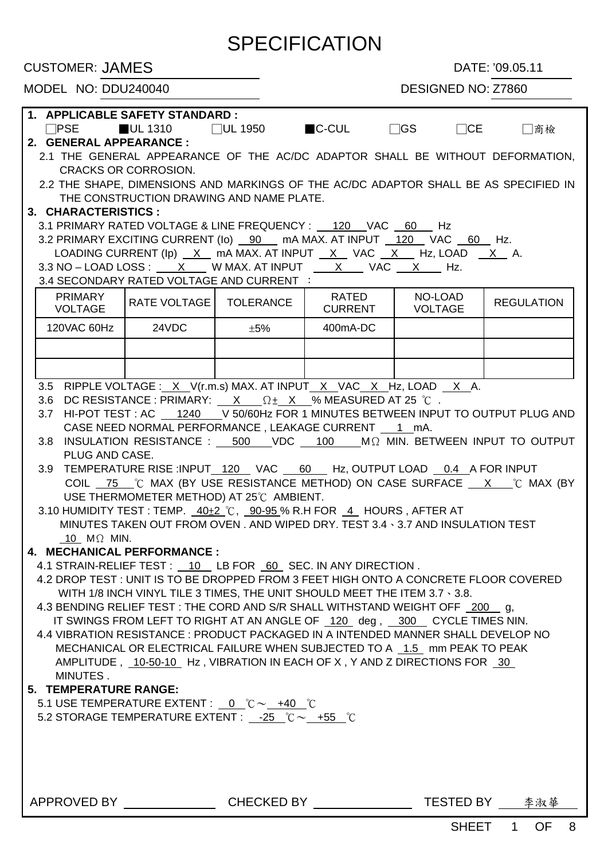# **SPECIFICATION**

CUSTOMER: JAMES DATE: '09.05.11

### MODEL NO: DDU240040 DESIGNED NO: Z7860

| 1. APPLICABLE SAFETY STANDARD :                                                                                                                        |                                                                                        |     |          |  |                                                                                      |  |  |  |  |  |
|--------------------------------------------------------------------------------------------------------------------------------------------------------|----------------------------------------------------------------------------------------|-----|----------|--|--------------------------------------------------------------------------------------|--|--|--|--|--|
|                                                                                                                                                        | $\Box$ PSE $\Box$ UL 1310 $\Box$ UL 1950 $\Box$ C-CUL $\Box$ GS $\Box$ CE              |     |          |  | □商檢                                                                                  |  |  |  |  |  |
| 2. GENERAL APPEARANCE :                                                                                                                                |                                                                                        |     |          |  |                                                                                      |  |  |  |  |  |
|                                                                                                                                                        |                                                                                        |     |          |  | 2.1 THE GENERAL APPEARANCE OF THE AC/DC ADAPTOR SHALL BE WITHOUT DEFORMATION,        |  |  |  |  |  |
|                                                                                                                                                        | <b>CRACKS OR CORROSION.</b>                                                            |     |          |  |                                                                                      |  |  |  |  |  |
|                                                                                                                                                        |                                                                                        |     |          |  | 2.2 THE SHAPE, DIMENSIONS AND MARKINGS OF THE AC/DC ADAPTOR SHALL BE AS SPECIFIED IN |  |  |  |  |  |
|                                                                                                                                                        | THE CONSTRUCTION DRAWING AND NAME PLATE.                                               |     |          |  |                                                                                      |  |  |  |  |  |
| 3. CHARACTERISTICS:                                                                                                                                    |                                                                                        |     |          |  |                                                                                      |  |  |  |  |  |
|                                                                                                                                                        |                                                                                        |     |          |  |                                                                                      |  |  |  |  |  |
|                                                                                                                                                        | 3.2 PRIMARY EXCITING CURRENT (lo) __ 90 __ mA MAX. AT INPUT __ 120 __ VAC __ 60 __ Hz. |     |          |  |                                                                                      |  |  |  |  |  |
|                                                                                                                                                        | LOADING CURRENT (Ip) X mA MAX. AT INPUT X VAC X Hz, LOAD X A.                          |     |          |  |                                                                                      |  |  |  |  |  |
|                                                                                                                                                        | $3.3$ NO - LOAD LOSS : $X$ W MAX. AT INPUT $X$ VAC $X$ Hz.                             |     |          |  |                                                                                      |  |  |  |  |  |
|                                                                                                                                                        | 3.4 SECONDARY RATED VOLTAGE AND CURRENT :                                              |     |          |  |                                                                                      |  |  |  |  |  |
| <b>PRIMARY</b><br>RATED<br>NO-LOAD<br>RATE VOLTAGE   TOLERANCE<br><b>REGULATION</b><br>CURRENT  <br><b>VOLTAGE</b><br><b>VOLTAGE</b>                   |                                                                                        |     |          |  |                                                                                      |  |  |  |  |  |
| 120VAC 60Hz   24VDC                                                                                                                                    |                                                                                        | ±5% | 400mA-DC |  |                                                                                      |  |  |  |  |  |
|                                                                                                                                                        |                                                                                        |     |          |  |                                                                                      |  |  |  |  |  |
|                                                                                                                                                        |                                                                                        |     |          |  |                                                                                      |  |  |  |  |  |
|                                                                                                                                                        |                                                                                        |     |          |  |                                                                                      |  |  |  |  |  |
|                                                                                                                                                        | 3.5 RIPPLE VOLTAGE : X V(r.m.s) MAX. AT INPUT X VAC X Hz, LOAD X A.                    |     |          |  |                                                                                      |  |  |  |  |  |
| 3.6                                                                                                                                                    | DC RESISTANCE : PRIMARY: $X = \Omega \pm X$ % MEASURED AT 25 °C.                       |     |          |  |                                                                                      |  |  |  |  |  |
| 3.7                                                                                                                                                    |                                                                                        |     |          |  | HI-POT TEST : AC 1240 V 50/60Hz FOR 1 MINUTES BETWEEN INPUT TO OUTPUT PLUG AND       |  |  |  |  |  |
|                                                                                                                                                        | CASE NEED NORMAL PERFORMANCE, LEAKAGE CURRENT 1 mA.                                    |     |          |  |                                                                                      |  |  |  |  |  |
|                                                                                                                                                        |                                                                                        |     |          |  | 3.8 INSULATION RESISTANCE : 500 VDC 100 M Ω MIN. BETWEEN INPUT TO OUTPUT             |  |  |  |  |  |
| PLUG AND CASE.                                                                                                                                         |                                                                                        |     |          |  |                                                                                      |  |  |  |  |  |
| 3.9 <sup>°</sup>                                                                                                                                       | TEMPERATURE RISE :INPUT_120 VAC 60 Hz, OUTPUT LOAD 0.4 A FOR INPUT                     |     |          |  |                                                                                      |  |  |  |  |  |
|                                                                                                                                                        |                                                                                        |     |          |  |                                                                                      |  |  |  |  |  |
| COIL 75 ℃ MAX (BY USE RESISTANCE METHOD) ON CASE SURFACE X ℃ MAX (BY<br>USE THERMOMETER METHOD) AT 25°C AMBIENT.                                       |                                                                                        |     |          |  |                                                                                      |  |  |  |  |  |
|                                                                                                                                                        | 3.10 HUMIDITY TEST : TEMP. $40\pm2$ °C, $90\cdot95\%$ R.H FOR $4$ HOURS, AFTER AT      |     |          |  |                                                                                      |  |  |  |  |  |
|                                                                                                                                                        | MINUTES TAKEN OUT FROM OVEN . AND WIPED DRY. TEST 3.4 \ 3.7 AND INSULATION TEST        |     |          |  |                                                                                      |  |  |  |  |  |
| 10 $M\Omega$ MIN.                                                                                                                                      |                                                                                        |     |          |  |                                                                                      |  |  |  |  |  |
| 4. MECHANICAL PERFORMANCE :                                                                                                                            |                                                                                        |     |          |  |                                                                                      |  |  |  |  |  |
| 4.1 STRAIN-RELIEF TEST : _ 10 LB FOR 60 SEC. IN ANY DIRECTION.                                                                                         |                                                                                        |     |          |  |                                                                                      |  |  |  |  |  |
| 4.2 DROP TEST : UNIT IS TO BE DROPPED FROM 3 FEET HIGH ONTO A CONCRETE FLOOR COVERED                                                                   |                                                                                        |     |          |  |                                                                                      |  |  |  |  |  |
| WITH 1/8 INCH VINYL TILE 3 TIMES, THE UNIT SHOULD MEET THE ITEM 3.7 \ 3.8.                                                                             |                                                                                        |     |          |  |                                                                                      |  |  |  |  |  |
| 4.3 BENDING RELIEF TEST : THE CORD AND S/R SHALL WITHSTAND WEIGHT OFF 200 g,                                                                           |                                                                                        |     |          |  |                                                                                      |  |  |  |  |  |
| IT SWINGS FROM LEFT TO RIGHT AT AN ANGLE OF 120 deg, 300 CYCLE TIMES NIN.                                                                              |                                                                                        |     |          |  |                                                                                      |  |  |  |  |  |
|                                                                                                                                                        |                                                                                        |     |          |  |                                                                                      |  |  |  |  |  |
| 4.4 VIBRATION RESISTANCE : PRODUCT PACKAGED IN A INTENDED MANNER SHALL DEVELOP NO                                                                      |                                                                                        |     |          |  |                                                                                      |  |  |  |  |  |
| MECHANICAL OR ELECTRICAL FAILURE WHEN SUBJECTED TO A 1.5 mm PEAK TO PEAK<br>AMPLITUDE , 10-50-10 Hz, VIBRATION IN EACH OF X, Y AND Z DIRECTIONS FOR 30 |                                                                                        |     |          |  |                                                                                      |  |  |  |  |  |
| MINUTES.                                                                                                                                               |                                                                                        |     |          |  |                                                                                      |  |  |  |  |  |
| 5. TEMPERATURE RANGE:                                                                                                                                  |                                                                                        |     |          |  |                                                                                      |  |  |  |  |  |
|                                                                                                                                                        |                                                                                        |     |          |  |                                                                                      |  |  |  |  |  |
| 5.1 USE TEMPERATURE EXTENT : 0 $^{\circ}$ C $\sim$ +40 $^{\circ}$ C                                                                                    |                                                                                        |     |          |  |                                                                                      |  |  |  |  |  |
| 5.2 STORAGE TEMPERATURE EXTENT : $-25$ °C $\sim$ +55 °C                                                                                                |                                                                                        |     |          |  |                                                                                      |  |  |  |  |  |
|                                                                                                                                                        |                                                                                        |     |          |  |                                                                                      |  |  |  |  |  |
|                                                                                                                                                        |                                                                                        |     |          |  |                                                                                      |  |  |  |  |  |
|                                                                                                                                                        |                                                                                        |     |          |  |                                                                                      |  |  |  |  |  |
|                                                                                                                                                        |                                                                                        |     |          |  |                                                                                      |  |  |  |  |  |
|                                                                                                                                                        |                                                                                        |     |          |  |                                                                                      |  |  |  |  |  |
| APPROVED BY ____________________CHECKED BY __________________TESTED BY ___________________________CHECKED BY __________________________                |                                                                                        |     |          |  |                                                                                      |  |  |  |  |  |
|                                                                                                                                                        |                                                                                        |     |          |  | SHEET 1 OF 8                                                                         |  |  |  |  |  |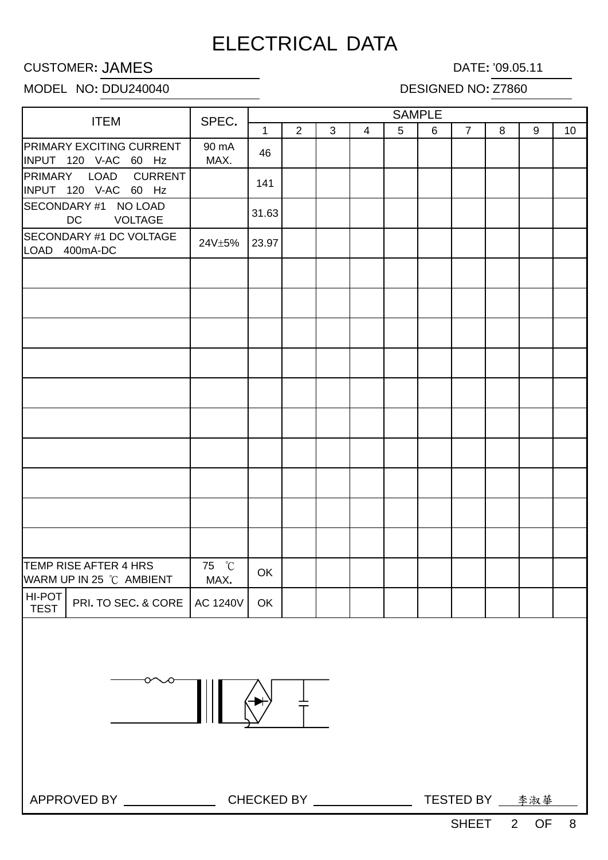## ELECTRICAL DATA

### **CUSTOMER: JAMES** DATE: '09.05.11

### MODEL NO: DDU240040 DESIGNED NO: Z7860

| <b>ITEM</b>                                                                       | SPEC.         | <b>SAMPLE</b> |   |              |                |   |   |                |              |   |    |
|-----------------------------------------------------------------------------------|---------------|---------------|---|--------------|----------------|---|---|----------------|--------------|---|----|
|                                                                                   |               | $\mathbf{1}$  | 2 | $\mathbf{3}$ | $\overline{4}$ | 5 | 6 | $\overline{7}$ | 8            | 9 | 10 |
| PRIMARY EXCITING CURRENT<br>INPUT 120 V-AC 60 Hz                                  | 90 mA<br>MAX. | 46            |   |              |                |   |   |                |              |   |    |
| <b>CURRENT</b><br>PRIMARY LOAD<br>INPUT 120 V-AC 60 Hz                            |               | 141           |   |              |                |   |   |                |              |   |    |
| SECONDARY #1 NO LOAD<br><b>DC</b><br><b>VOLTAGE</b>                               |               | 31.63         |   |              |                |   |   |                |              |   |    |
| SECONDARY #1 DC VOLTAGE<br>LOAD 400mA-DC                                          | 24V±5%        | 23.97         |   |              |                |   |   |                |              |   |    |
|                                                                                   |               |               |   |              |                |   |   |                |              |   |    |
|                                                                                   |               |               |   |              |                |   |   |                |              |   |    |
|                                                                                   |               |               |   |              |                |   |   |                |              |   |    |
|                                                                                   |               |               |   |              |                |   |   |                |              |   |    |
|                                                                                   |               |               |   |              |                |   |   |                |              |   |    |
|                                                                                   |               |               |   |              |                |   |   |                |              |   |    |
|                                                                                   |               |               |   |              |                |   |   |                |              |   |    |
|                                                                                   |               |               |   |              |                |   |   |                |              |   |    |
|                                                                                   |               |               |   |              |                |   |   |                |              |   |    |
|                                                                                   |               |               |   |              |                |   |   |                |              |   |    |
| TEMP RISE AFTER 4 HRS<br>WARM UP IN 25 °C AMBIENT                                 | 75 °C<br>MAX. | OK            |   |              |                |   |   |                |              |   |    |
| HI-POT<br>PRI. TO SEC. & CORE   AC 1240V  <br><b>TEST</b>                         |               | OK            |   |              |                |   |   |                |              |   |    |
| 卞                                                                                 |               |               |   |              |                |   |   |                |              |   |    |
| APPROVED BY ___________________CHECKED BY __________________TESTED BY ___________ |               |               |   |              |                |   |   |                |              |   |    |
|                                                                                   |               |               |   |              |                |   |   |                | SHEET 2 OF 8 |   |    |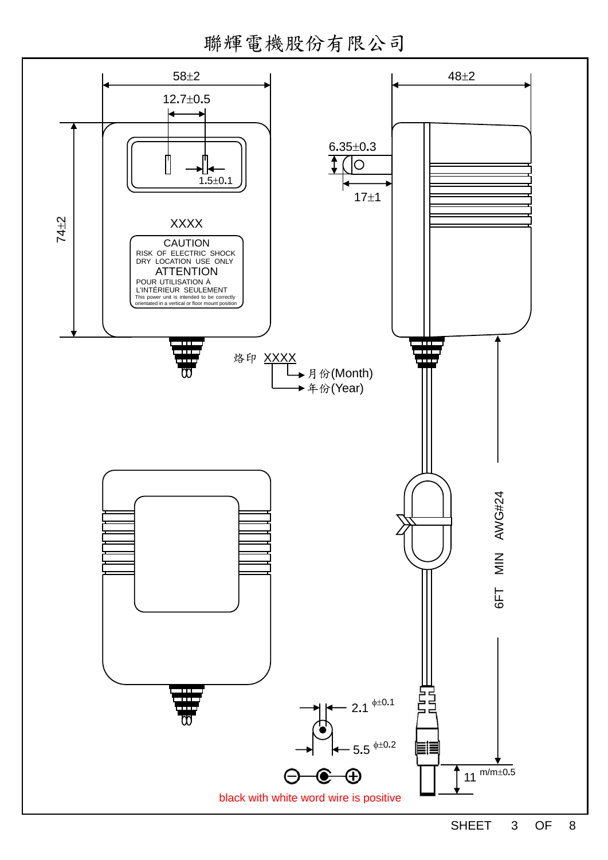聯輝電機股份有限公司

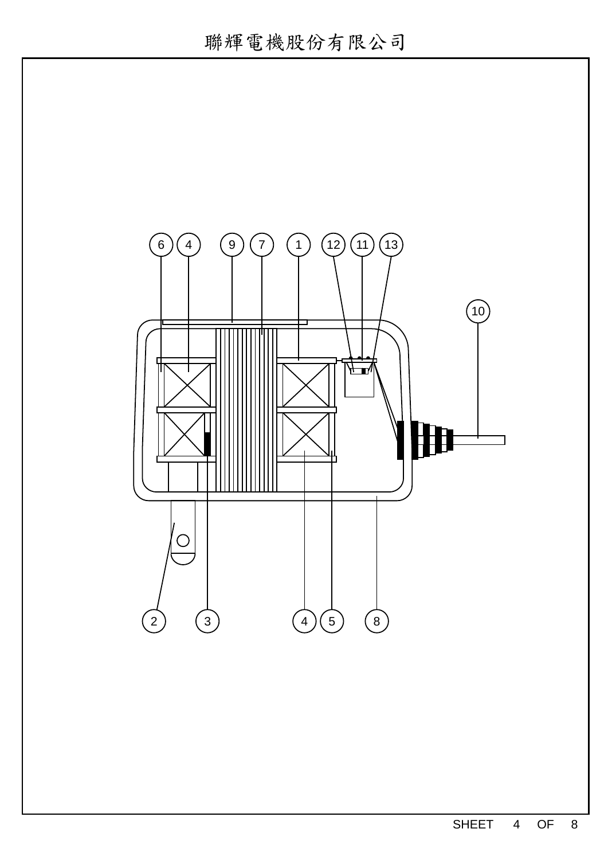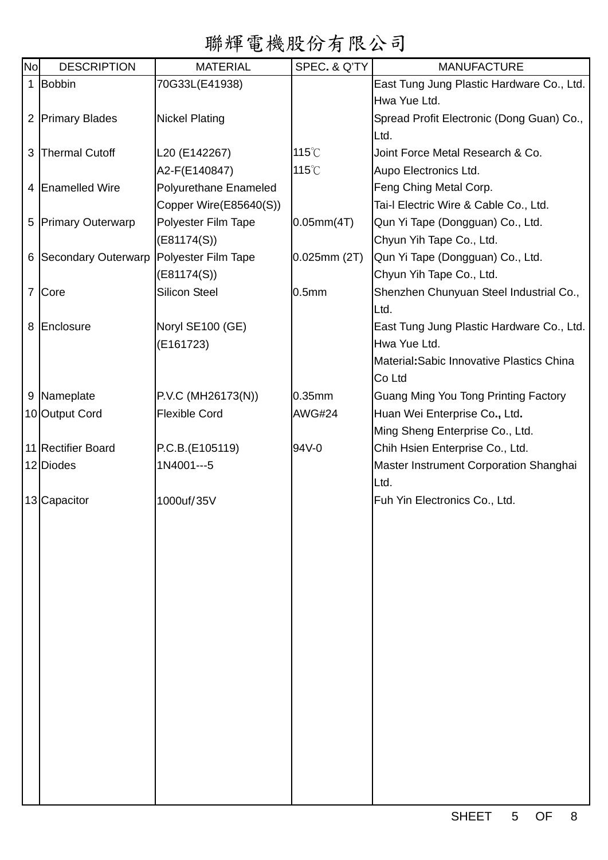# 聯輝電機股份有限公司

| <b>No</b> | <b>DESCRIPTION</b>    | <b>MATERIAL</b>        | SPEC. & Q'TY      | <b>MANUFACTURE</b>                        |
|-----------|-----------------------|------------------------|-------------------|-------------------------------------------|
|           | 1 Bobbin              | 70G33L(E41938)         |                   | East Tung Jung Plastic Hardware Co., Ltd. |
|           |                       |                        |                   | Hwa Yue Ltd.                              |
|           | 2 Primary Blades      | <b>Nickel Plating</b>  |                   | Spread Profit Electronic (Dong Guan) Co., |
|           |                       |                        |                   | Ltd.                                      |
| 3         | <b>Thermal Cutoff</b> | L20 (E142267)          | 115°C             | Joint Force Metal Research & Co.          |
|           |                       | A2-F(E140847)          | 115°C             | Aupo Electronics Ltd.                     |
|           | 4 Enamelled Wire      | Polyurethane Enameled  |                   | Feng Ching Metal Corp.                    |
|           |                       | Copper Wire(E85640(S)) |                   | Tai-I Electric Wire & Cable Co., Ltd.     |
|           | 5 Primary Outerwarp   | Polyester Film Tape    | 0.05mm(4T)        | Qun Yi Tape (Dongguan) Co., Ltd.          |
|           |                       | (E81174(S))            |                   | Chyun Yih Tape Co., Ltd.                  |
|           | 6 Secondary Outerwarp | Polyester Film Tape    | $0.025$ mm $(2T)$ | Qun Yi Tape (Dongguan) Co., Ltd.          |
|           |                       | (E81174(S))            |                   | Chyun Yih Tape Co., Ltd.                  |
|           | 7 Core                | <b>Silicon Steel</b>   | 0.5 <sub>mm</sub> | Shenzhen Chunyuan Steel Industrial Co.,   |
|           |                       |                        |                   | Ltd.                                      |
|           | 8 Enclosure           | Noryl SE100 (GE)       |                   | East Tung Jung Plastic Hardware Co., Ltd. |
|           |                       | (E161723)              |                   | Hwa Yue Ltd.                              |
|           |                       |                        |                   | Material: Sabic Innovative Plastics China |
|           |                       |                        |                   | Co Ltd                                    |
|           | 9 Nameplate           | P.V.C (MH26173(N))     | $0.35$ mm         | Guang Ming You Tong Printing Factory      |
|           | 10 Output Cord        | <b>Flexible Cord</b>   | <b>AWG#24</b>     | Huan Wei Enterprise Co., Ltd.             |
|           |                       |                        |                   | Ming Sheng Enterprise Co., Ltd.           |
|           | 11 Rectifier Board    | P.C.B.(E105119)        | 94V-0             | Chih Hsien Enterprise Co., Ltd.           |
|           | 12 Diodes             | 1N4001---5             |                   | Master Instrument Corporation Shanghai    |
|           |                       |                        |                   | Ltd.                                      |
|           | 13 Capacitor          | 1000uf/35V             |                   | Fuh Yin Electronics Co., Ltd.             |
|           |                       |                        |                   |                                           |
|           |                       |                        |                   |                                           |
|           |                       |                        |                   |                                           |
|           |                       |                        |                   |                                           |
|           |                       |                        |                   |                                           |
|           |                       |                        |                   |                                           |
|           |                       |                        |                   |                                           |
|           |                       |                        |                   |                                           |
|           |                       |                        |                   |                                           |
|           |                       |                        |                   |                                           |
|           |                       |                        |                   |                                           |
|           |                       |                        |                   |                                           |
|           |                       |                        |                   |                                           |
|           |                       |                        |                   |                                           |
|           |                       |                        |                   |                                           |
|           |                       |                        |                   |                                           |
|           |                       |                        |                   |                                           |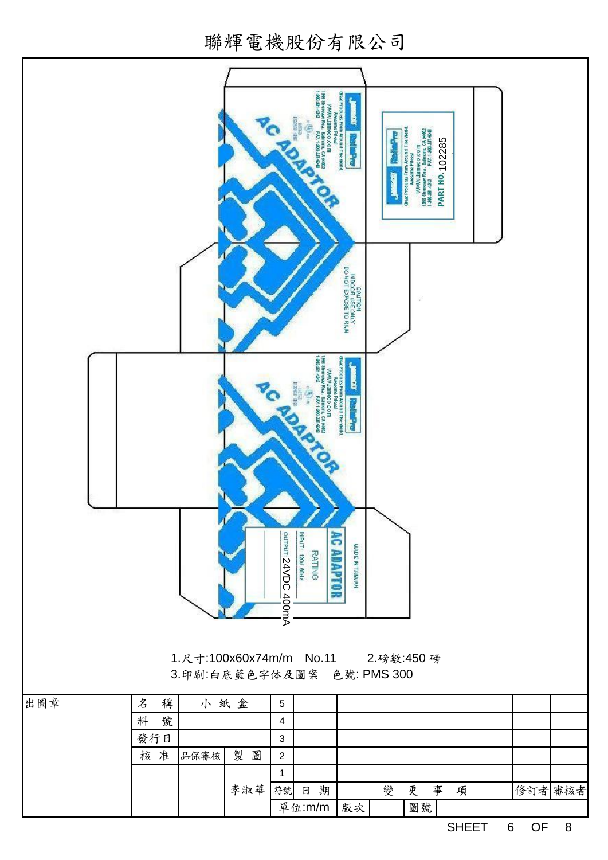聯輝電機股份有限公司